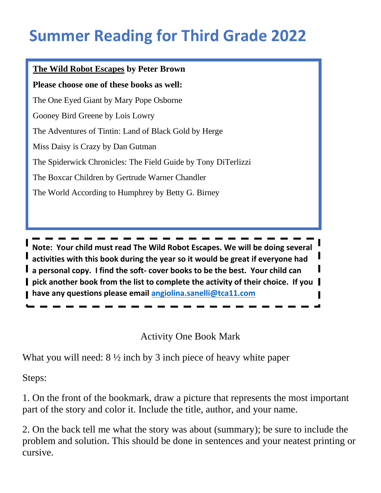## **Summer Reading for Third Grade 2022**

## **The Wild Robot Escapes by Peter Brown**

**Please choose one of these books as well:** 

The One Eyed Giant by Mary Pope Osborne

Gooney Bird Greene by Lois Lowry

The Adventures of Tintin: Land of Black Gold by Herge

Miss Daisy is Crazy by Dan Gutman

The Spiderwick Chronicles: The Field Guide by Tony DiTerlizzi

The Boxcar Children by Gertrude Warner Chandler

The World According to Humphrey by Betty G. Birney

The Spiderwick Chronicles: The Field Guide by Tony DiTerlizzi **Note: Your child must read The Wild Robot Escapes. We will be doing several activities with this book during the year so it would be great if everyone had a personal copy. I find the soft- cover books to be the best. Your child can pick another book from the list to complete the activity of their choice. If you have any questions please email [angiolina.sanelli@tca11.com](mailto:angiolina.sanelli@tca11.com)**

Activity One Book Mark

What you will need:  $8\frac{1}{2}$  inch by 3 inch piece of heavy white paper

Steps:

1. On the front of the bookmark, draw a picture that represents the most important part of the story and color it. Include the title, author, and your name.

2. On the back tell me what the story was about (summary); be sure to include the problem and solution. This should be done in sentences and your neatest printing or cursive.